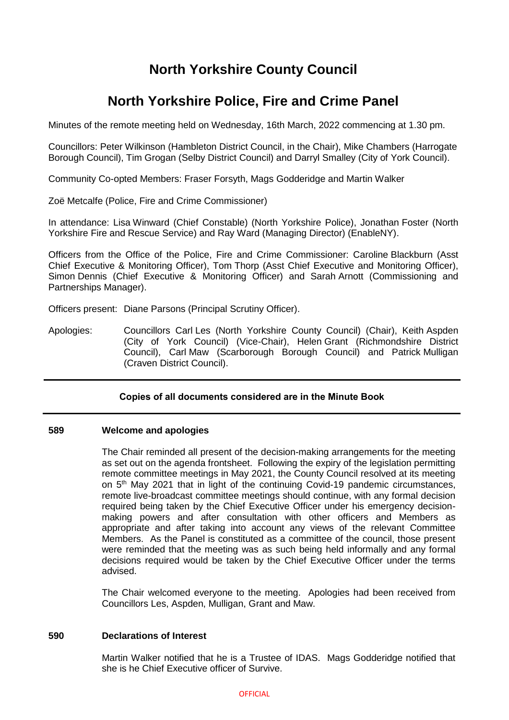# **North Yorkshire County Council**

# **North Yorkshire Police, Fire and Crime Panel**

Minutes of the remote meeting held on Wednesday, 16th March, 2022 commencing at 1.30 pm.

Councillors: Peter Wilkinson (Hambleton District Council, in the Chair), Mike Chambers (Harrogate Borough Council), Tim Grogan (Selby District Council) and Darryl Smalley (City of York Council).

Community Co-opted Members: Fraser Forsyth, Mags Godderidge and Martin Walker

Zoë Metcalfe (Police, Fire and Crime Commissioner)

In attendance: Lisa Winward (Chief Constable) (North Yorkshire Police), Jonathan Foster (North Yorkshire Fire and Rescue Service) and Ray Ward (Managing Director) (EnableNY).

Officers from the Office of the Police, Fire and Crime Commissioner: Caroline Blackburn (Asst Chief Executive & Monitoring Officer), Tom Thorp (Asst Chief Executive and Monitoring Officer), Simon Dennis (Chief Executive & Monitoring Officer) and Sarah Arnott (Commissioning and Partnerships Manager).

Officers present: Diane Parsons (Principal Scrutiny Officer).

Apologies: Councillors Carl Les (North Yorkshire County Council) (Chair), Keith Aspden (City of York Council) (Vice-Chair), Helen Grant (Richmondshire District Council), Carl Maw (Scarborough Borough Council) and Patrick Mulligan (Craven District Council).

# **Copies of all documents considered are in the Minute Book**

## **589 Welcome and apologies**

The Chair reminded all present of the decision-making arrangements for the meeting as set out on the agenda frontsheet. Following the expiry of the legislation permitting remote committee meetings in May 2021, the County Council resolved at its meeting on 5<sup>th</sup> May 2021 that in light of the continuing Covid-19 pandemic circumstances, remote live-broadcast committee meetings should continue, with any formal decision required being taken by the Chief Executive Officer under his emergency decisionmaking powers and after consultation with other officers and Members as appropriate and after taking into account any views of the relevant Committee Members. As the Panel is constituted as a committee of the council, those present were reminded that the meeting was as such being held informally and any formal decisions required would be taken by the Chief Executive Officer under the terms advised.

The Chair welcomed everyone to the meeting. Apologies had been received from Councillors Les, Aspden, Mulligan, Grant and Maw.

## **590 Declarations of Interest**

Martin Walker notified that he is a Trustee of IDAS. Mags Godderidge notified that she is he Chief Executive officer of Survive.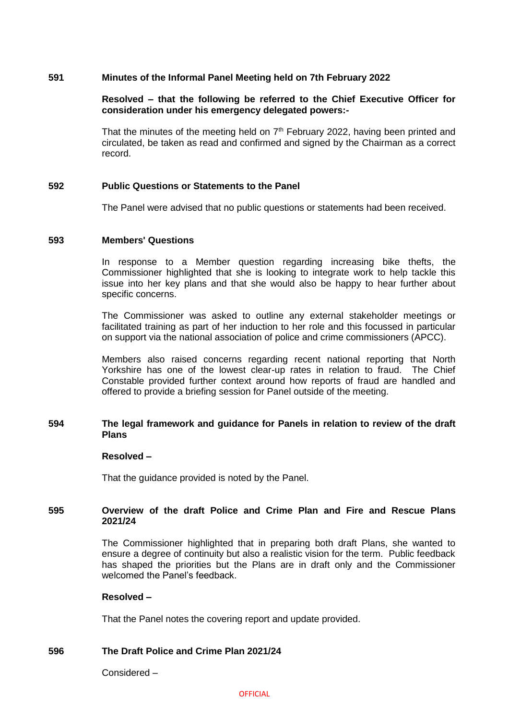## **591 Minutes of the Informal Panel Meeting held on 7th February 2022**

## **Resolved – that the following be referred to the Chief Executive Officer for consideration under his emergency delegated powers:-**

That the minutes of the meeting held on  $7<sup>th</sup>$  February 2022, having been printed and circulated, be taken as read and confirmed and signed by the Chairman as a correct record.

## **592 Public Questions or Statements to the Panel**

The Panel were advised that no public questions or statements had been received.

## **593 Members' Questions**

In response to a Member question regarding increasing bike thefts, the Commissioner highlighted that she is looking to integrate work to help tackle this issue into her key plans and that she would also be happy to hear further about specific concerns.

The Commissioner was asked to outline any external stakeholder meetings or facilitated training as part of her induction to her role and this focussed in particular on support via the national association of police and crime commissioners (APCC).

Members also raised concerns regarding recent national reporting that North Yorkshire has one of the lowest clear-up rates in relation to fraud. The Chief Constable provided further context around how reports of fraud are handled and offered to provide a briefing session for Panel outside of the meeting.

## **594 The legal framework and guidance for Panels in relation to review of the draft Plans**

## **Resolved –**

That the guidance provided is noted by the Panel.

## **595 Overview of the draft Police and Crime Plan and Fire and Rescue Plans 2021/24**

The Commissioner highlighted that in preparing both draft Plans, she wanted to ensure a degree of continuity but also a realistic vision for the term. Public feedback has shaped the priorities but the Plans are in draft only and the Commissioner welcomed the Panel's feedback.

# **Resolved –**

That the Panel notes the covering report and update provided.

# **596 The Draft Police and Crime Plan 2021/24**

Considered –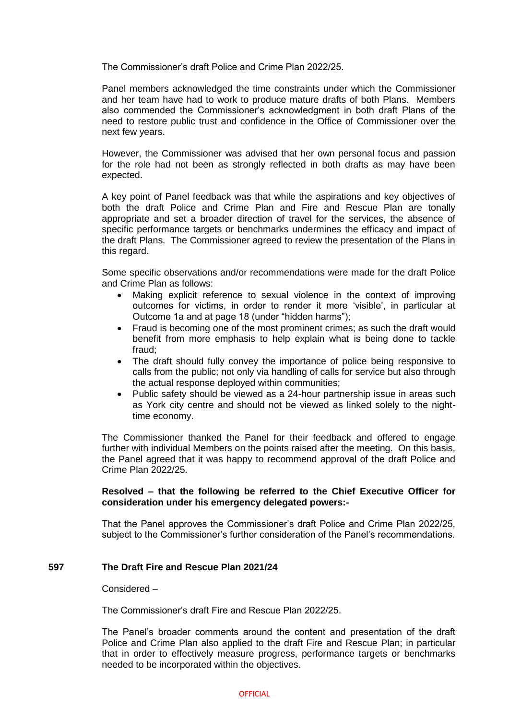The Commissioner's draft Police and Crime Plan 2022/25.

Panel members acknowledged the time constraints under which the Commissioner and her team have had to work to produce mature drafts of both Plans. Members also commended the Commissioner's acknowledgment in both draft Plans of the need to restore public trust and confidence in the Office of Commissioner over the next few years.

However, the Commissioner was advised that her own personal focus and passion for the role had not been as strongly reflected in both drafts as may have been expected.

A key point of Panel feedback was that while the aspirations and key objectives of both the draft Police and Crime Plan and Fire and Rescue Plan are tonally appropriate and set a broader direction of travel for the services, the absence of specific performance targets or benchmarks undermines the efficacy and impact of the draft Plans. The Commissioner agreed to review the presentation of the Plans in this regard.

Some specific observations and/or recommendations were made for the draft Police and Crime Plan as follows:

- Making explicit reference to sexual violence in the context of improving outcomes for victims, in order to render it more 'visible', in particular at Outcome 1a and at page 18 (under "hidden harms");
- Fraud is becoming one of the most prominent crimes; as such the draft would benefit from more emphasis to help explain what is being done to tackle fraud;
- The draft should fully convey the importance of police being responsive to calls from the public; not only via handling of calls for service but also through the actual response deployed within communities;
- Public safety should be viewed as a 24-hour partnership issue in areas such as York city centre and should not be viewed as linked solely to the nighttime economy.

The Commissioner thanked the Panel for their feedback and offered to engage further with individual Members on the points raised after the meeting. On this basis, the Panel agreed that it was happy to recommend approval of the draft Police and Crime Plan 2022/25.

## **Resolved – that the following be referred to the Chief Executive Officer for consideration under his emergency delegated powers:-**

That the Panel approves the Commissioner's draft Police and Crime Plan 2022/25, subject to the Commissioner's further consideration of the Panel's recommendations.

# **597 The Draft Fire and Rescue Plan 2021/24**

## Considered –

The Commissioner's draft Fire and Rescue Plan 2022/25.

The Panel's broader comments around the content and presentation of the draft Police and Crime Plan also applied to the draft Fire and Rescue Plan; in particular that in order to effectively measure progress, performance targets or benchmarks needed to be incorporated within the objectives.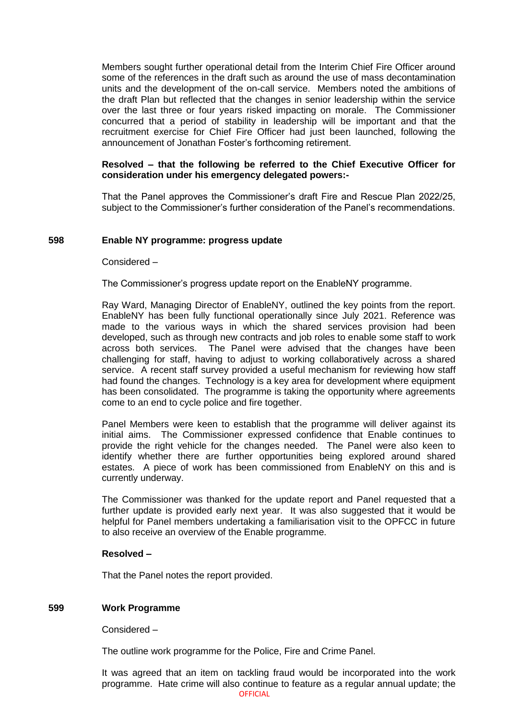Members sought further operational detail from the Interim Chief Fire Officer around some of the references in the draft such as around the use of mass decontamination units and the development of the on-call service. Members noted the ambitions of the draft Plan but reflected that the changes in senior leadership within the service over the last three or four years risked impacting on morale. The Commissioner concurred that a period of stability in leadership will be important and that the recruitment exercise for Chief Fire Officer had just been launched, following the announcement of Jonathan Foster's forthcoming retirement.

## **Resolved – that the following be referred to the Chief Executive Officer for consideration under his emergency delegated powers:-**

That the Panel approves the Commissioner's draft Fire and Rescue Plan 2022/25, subject to the Commissioner's further consideration of the Panel's recommendations.

## **598 Enable NY programme: progress update**

#### Considered –

The Commissioner's progress update report on the EnableNY programme.

Ray Ward, Managing Director of EnableNY, outlined the key points from the report. EnableNY has been fully functional operationally since July 2021. Reference was made to the various ways in which the shared services provision had been developed, such as through new contracts and job roles to enable some staff to work across both services. The Panel were advised that the changes have been challenging for staff, having to adjust to working collaboratively across a shared service. A recent staff survey provided a useful mechanism for reviewing how staff had found the changes. Technology is a key area for development where equipment has been consolidated. The programme is taking the opportunity where agreements come to an end to cycle police and fire together.

Panel Members were keen to establish that the programme will deliver against its initial aims. The Commissioner expressed confidence that Enable continues to provide the right vehicle for the changes needed. The Panel were also keen to identify whether there are further opportunities being explored around shared estates. A piece of work has been commissioned from EnableNY on this and is currently underway.

The Commissioner was thanked for the update report and Panel requested that a further update is provided early next year. It was also suggested that it would be helpful for Panel members undertaking a familiarisation visit to the OPFCC in future to also receive an overview of the Enable programme.

## **Resolved –**

That the Panel notes the report provided.

# **599 Work Programme**

Considered –

The outline work programme for the Police, Fire and Crime Panel.

**OFFICIAL** It was agreed that an item on tackling fraud would be incorporated into the work programme. Hate crime will also continue to feature as a regular annual update; the